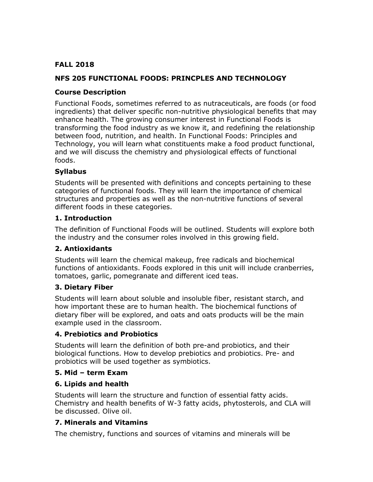## **FALL 2018**

## **NFS 205 FUNCTIONAL FOODS: PRINCPLES AND TECHNOLOGY**

## **Course Description**

Functional Foods, sometimes referred to as nutraceuticals, are foods (or food ingredients) that deliver specific non-nutritive physiological benefits that may enhance health. The growing consumer interest in Functional Foods is transforming the food industry as we know it, and redefining the relationship between food, nutrition, and health. In Functional Foods: Principles and Technology, you will learn what constituents make a food product functional, and we will discuss the chemistry and physiological effects of functional foods.

## **Syllabus**

Students will be presented with definitions and concepts pertaining to these categories of functional foods. They will learn the importance of chemical structures and properties as well as the non-nutritive functions of several different foods in these categories.

### **1. Introduction**

The definition of Functional Foods will be outlined. Students will explore both the industry and the consumer roles involved in this growing field.

## **2. Antioxidants**

Students will learn the chemical makeup, free radicals and biochemical functions of antioxidants. Foods explored in this unit will include cranberries, tomatoes, garlic, pomegranate and different iced teas.

#### **3. Dietary Fiber**

Students will learn about soluble and insoluble fiber, resistant starch, and how important these are to human health. The biochemical functions of dietary fiber will be explored, and oats and oats products will be the main example used in the classroom.

## **4. Prebiotics and Probiotics**

Students will learn the definition of both pre-and probiotics, and their biological functions. How to develop prebiotics and probiotics. Pre- and probiotics will be used together as symbiotics.

## **5. Mid – term Exam**

## **6. Lipids and health**

Students will learn the structure and function of essential fatty acids. Chemistry and health benefits of W-3 fatty acids, phytosterols, and CLA will be discussed. Olive oil.

## **7. Minerals and Vitamins**

The chemistry, functions and sources of vitamins and minerals will be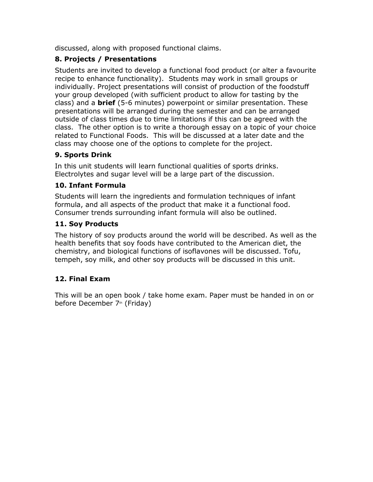discussed, along with proposed functional claims.

# **8. Projects / Presentations**

Students are invited to develop a functional food product (or alter a favourite recipe to enhance functionality). Students may work in small groups or individually. Project presentations will consist of production of the foodstuff your group developed (with sufficient product to allow for tasting by the class) and a **brief** (5-6 minutes) powerpoint or similar presentation. These presentations will be arranged during the semester and can be arranged outside of class times due to time limitations if this can be agreed with the class. The other option is to write a thorough essay on a topic of your choice related to Functional Foods. This will be discussed at a later date and the class may choose one of the options to complete for the project.

# **9. Sports Drink**

In this unit students will learn functional qualities of sports drinks. Electrolytes and sugar level will be a large part of the discussion.

# **10. Infant Formula**

Students will learn the ingredients and formulation techniques of infant formula, and all aspects of the product that make it a functional food. Consumer trends surrounding infant formula will also be outlined.

# **11. Soy Products**

The history of soy products around the world will be described. As well as the health benefits that soy foods have contributed to the American diet, the chemistry, and biological functions of isoflavones will be discussed. Tofu, tempeh, soy milk, and other soy products will be discussed in this unit.

# **12. Final Exam**

This will be an open book / take home exam. Paper must be handed in on or before December 7th (Friday)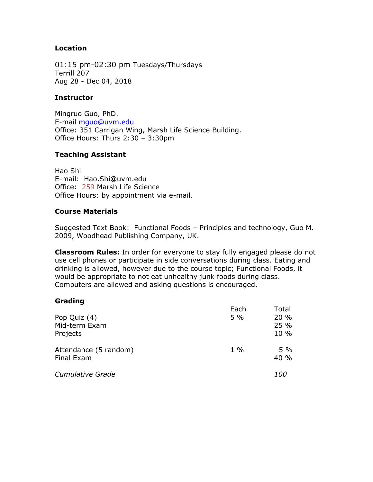#### **Location**

01:15 pm-02:30 pm Tuesdays/Thursdays Terrill 207 Aug 28 - Dec 04, 2018

#### **Instructor**

Mingruo Guo, PhD. E-mail [mguo@uvm.edu](mailto:mguo@uvm.edu) Office: 351 Carrigan Wing, Marsh Life Science Building. Office Hours: Thurs 2:30 – 3:30pm

### **Teaching Assistant**

Hao Shi E-mail: Hao.Shi@uvm.edu Office: 259 Marsh Life Science Office Hours: by appointment via e-mail.

### **Course Materials**

Suggested Text Book: Functional Foods – Principles and technology, Guo M. 2009, Woodhead Publishing Company, UK.

**Classroom Rules:** In order for everyone to stay fully engaged please do not use cell phones or participate in side conversations during class. Eating and drinking is allowed, however due to the course topic; Functional Foods, it would be appropriate to not eat unhealthy junk foods during class. Computers are allowed and asking questions is encouraged.

## **Grading**

| Pop Quiz (4)<br>Mid-term Exam<br>Projects | Each<br>5% | Total<br>20%<br>25 %<br>$10\%$ |
|-------------------------------------------|------------|--------------------------------|
| Attendance (5 random)<br>Final Exam       | $1\%$      | $5\%$<br>40 %                  |
| <b>Cumulative Grade</b>                   |            | <i>100</i>                     |